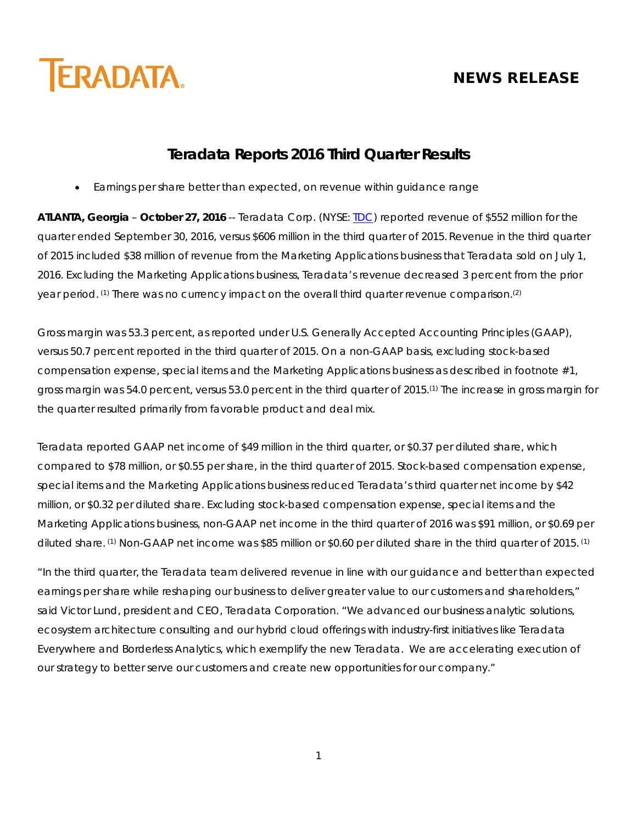

# **NEWS RELEASE**

# **Teradata Reports 2016 Third Quarter Results**

• Earnings per share better than expected, on revenue within guidance range

**ATLANTA, Georgia** – **October 27, 2016** -- Teradata Corp. (NYSE: [TDC\)](http://investor.teradata.com/about-teradata/default.aspx) reported revenue of \$552 million for the quarter ended September 30, 2016, versus \$606 million in the third quarter of 2015. Revenue in the third quarter of 2015 included \$38 million of revenue from the Marketing Applications business that Teradata sold on July 1, 2016. Excluding the Marketing Applications business, Teradata's revenue decreased 3 percent from the prior year period. (1) There was no currency impact on the overall third quarter revenue comparison. (2)

Gross margin was 53.3 percent, as reported under U.S. Generally Accepted Accounting Principles (GAAP), versus 50.7 percent reported in the third quarter of 2015. On a non-GAAP basis, excluding stock-based compensation expense, special items and the Marketing Applications business as described in footnote #1, gross margin was 54.0 percent, versus 53.0 percent in the third quarter of 2015.(1) The increase in gross margin for the quarter resulted primarily from favorable product and deal mix.

Teradata reported GAAP net income of \$49 million in the third quarter, or \$0.37 per diluted share, which compared to \$78 million, or \$0.55 per share, in the third quarter of 2015. Stock-based compensation expense, special items and the Marketing Applications business reduced Teradata's third quarter net income by \$42 million, or \$0.32 per diluted share. Excluding stock-based compensation expense, special items and the Marketing Applications business, non-GAAP net income in the third quarter of 2016 was \$91 million, or \$0.69 per diluted share. (1) Non-GAAP net income was \$85 million or \$0.60 per diluted share in the third quarter of 2015. (1)

"In the third quarter, the Teradata team delivered revenue in line with our guidance and better than expected earnings per share while reshaping our business to deliver greater value to our customers and shareholders," said Victor Lund, president and CEO, Teradata Corporation. "We advanced our business analytic solutions, ecosystem architecture consulting and our hybrid cloud offerings with industry-first initiatives like Teradata Everywhere and Borderless Analytics, which exemplify the new Teradata. We are accelerating execution of our strategy to better serve our customers and create new opportunities for our company."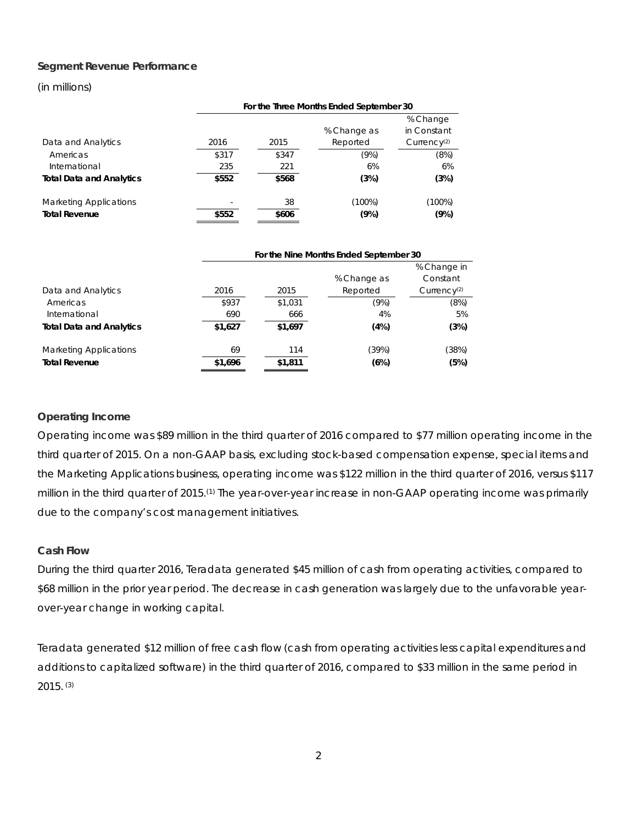#### **Segment Revenue Performance**

#### (in millions)

|                                 | For the Three Months Ended September 30 |       |             |                         |  |  |  |  |
|---------------------------------|-----------------------------------------|-------|-------------|-------------------------|--|--|--|--|
|                                 |                                         |       |             | % Change                |  |  |  |  |
|                                 |                                         |       | % Change as | in Constant             |  |  |  |  |
| Data and Analytics              | 2016                                    | 2015  | Reported    | Currence <sub>(2)</sub> |  |  |  |  |
| Americas                        | \$317                                   | \$347 | (9%)        | (8%)                    |  |  |  |  |
| International                   | 235                                     | 221   | 6%          | 6%                      |  |  |  |  |
| <b>Total Data and Analytics</b> | \$552                                   | \$568 | (3%)        | (3%)                    |  |  |  |  |
| <b>Marketing Applications</b>   |                                         | 38    | (100%)      | (100%)                  |  |  |  |  |
| <b>Total Revenue</b>            | \$552                                   | \$606 | (9%)        | (9%)                    |  |  |  |  |

|                                 |         | For the Nine Months Ended September 30 |             |                         |
|---------------------------------|---------|----------------------------------------|-------------|-------------------------|
|                                 |         |                                        |             | % Change in             |
|                                 |         |                                        | % Change as | Constant                |
| Data and Analytics              | 2016    | 2015                                   | Reported    | Currence <sub>(2)</sub> |
| Americas                        | \$937   | \$1,031                                | (9%)        | (8%)                    |
| International                   | 690     | 666                                    | 4%          | 5%                      |
| <b>Total Data and Analytics</b> | \$1,627 | \$1,697                                | (4%)        | (3%)                    |
| <b>Marketing Applications</b>   | 69      | 114                                    | (39%)       | (38%)                   |
| <b>Total Revenue</b>            | \$1,696 | \$1,811                                | (6%)        | (5%)                    |

#### **Operating Income**

Operating income was \$89 million in the third quarter of 2016 compared to \$77 million operating income in the third quarter of 2015. On a non-GAAP basis, excluding stock-based compensation expense, special items and the Marketing Applications business, operating income was \$122 million in the third quarter of 2016, versus \$117 million in the third quarter of 2015.(1) The year-over-year increase in non-GAAP operating income was primarily due to the company's cost management initiatives.

#### **Cash Flow**

During the third quarter 2016, Teradata generated \$45 million of cash from operating activities, compared to \$68 million in the prior year period. The decrease in cash generation was largely due to the unfavorable yearover-year change in working capital.

Teradata generated \$12 million of free cash flow (cash from operating activities less capital expenditures and additions to capitalized software) in the third quarter of 2016, compared to \$33 million in the same period in 2015. (3)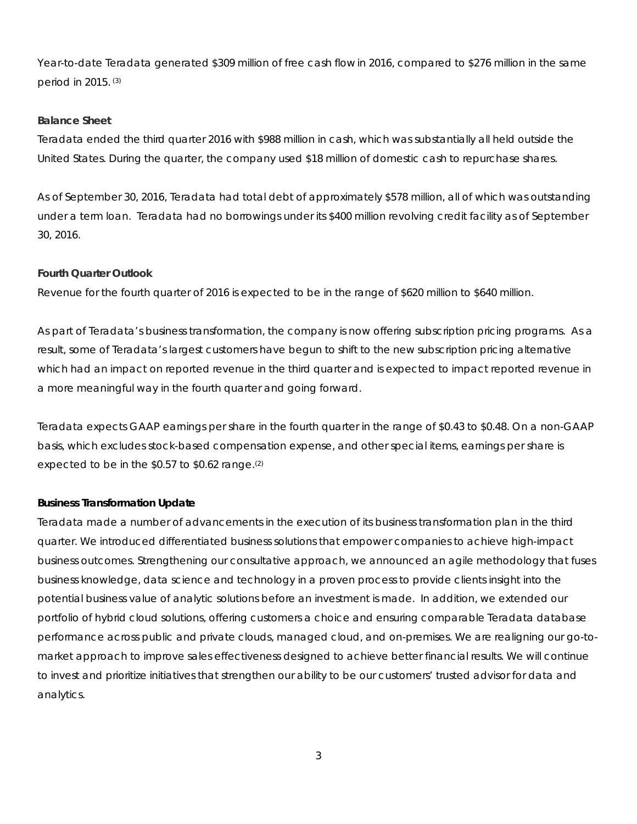Year-to-date Teradata generated \$309 million of free cash flow in 2016, compared to \$276 million in the same period in 2015. (3)

#### **Balance Sheet**

Teradata ended the third quarter 2016 with \$988 million in cash, which was substantially all held outside the United States. During the quarter, the company used \$18 million of domestic cash to repurchase shares.

As of September 30, 2016, Teradata had total debt of approximately \$578 million, all of which was outstanding under a term loan. Teradata had no borrowings under its \$400 million revolving credit facility as of September 30, 2016.

#### **Fourth Quarter Outlook**

Revenue for the fourth quarter of 2016 is expected to be in the range of \$620 million to \$640 million.

As part of Teradata's business transformation, the company is now offering subscription pricing programs. As a result, some of Teradata's largest customers have begun to shift to the new subscription pricing alternative which had an impact on reported revenue in the third quarter and is expected to impact reported revenue in a more meaningful way in the fourth quarter and going forward.

Teradata expects GAAP earnings per share in the fourth quarter in the range of \$0.43 to \$0.48. On a non-GAAP basis, which excludes stock-based compensation expense, and other special items, earnings per share is expected to be in the \$0.57 to \$0.62 range.(2)

### **Business Transformation Update**

Teradata made a number of advancements in the execution of its business transformation plan in the third quarter. We introduced differentiated business solutions that empower companies to achieve high-impact business outcomes. Strengthening our consultative approach, we announced an agile methodology that fuses business knowledge, data science and technology in a proven process to provide clients insight into the potential business value of analytic solutions before an investment is made. In addition, we extended our portfolio of hybrid cloud solutions, offering customers a choice and ensuring comparable Teradata database performance across public and private clouds, managed cloud, and on-premises. We are realigning our go-tomarket approach to improve sales effectiveness designed to achieve better financial results. We will continue to invest and prioritize initiatives that strengthen our ability to be our customers' trusted advisor for data and analytics.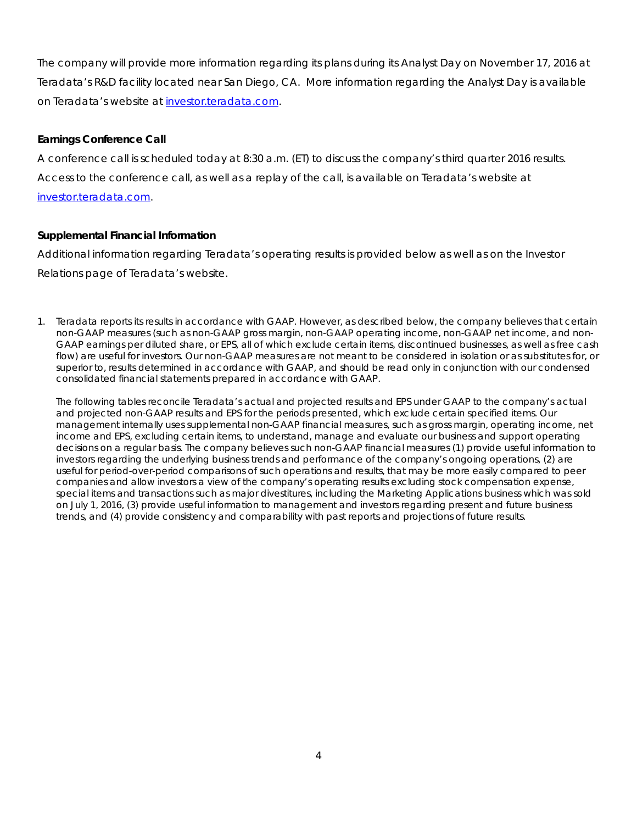The company will provide more information regarding its plans during its Analyst Day on November 17, 2016 at Teradata's R&D facility located near San Diego, CA. More information regarding the Analyst Day is available on Teradata's website at [investor.teradata.com.](http://investor.teradata.com/about-teradata/default.aspx%23top)

### **Earnings Conference Call**

A conference call is scheduled today at 8:30 a.m. (ET) to discuss the company's third quarter 2016 results. Access to the conference call, as well as a replay of the call, is available on Teradata's website at [investor.teradata.com.](http://investor.teradata.com/about-teradata/default.aspx%23top)

### **Supplemental Financial Information**

Additional information regarding Teradata's operating results is provided below as well as on the Investor Relations page of Teradata's website.

1. Teradata reports its results in accordance with GAAP. However, as described below, the company believes that certain non-GAAP measures (such as non-GAAP gross margin, non-GAAP operating income, non-GAAP net income, and non-GAAP earnings per diluted share, or EPS, all of which exclude certain items, discontinued businesses, as well as free cash flow) are useful for investors. Our non-GAAP measures are not meant to be considered in isolation or as substitutes for, or superior to, results determined in accordance with GAAP, and should be read only in conjunction with our condensed consolidated financial statements prepared in accordance with GAAP.

The following tables reconcile Teradata's actual and projected results and EPS under GAAP to the company's actual and projected non-GAAP results and EPS for the periods presented, which exclude certain specified items. Our management internally uses supplemental non-GAAP financial measures, such as gross margin, operating income, net income and EPS, excluding certain items, to understand, manage and evaluate our business and support operating decisions on a regular basis. The company believes such non-GAAP financial measures (1) provide useful information to investors regarding the underlying business trends and performance of the company's ongoing operations, (2) are useful for period-over-period comparisons of such operations and results, that may be more easily compared to peer companies and allow investors a view of the company's operating results excluding stock compensation expense, special items and transactions such as major divestitures, including the Marketing Applications business which was sold on July 1, 2016, (3) provide useful information to management and investors regarding present and future business trends, and (4) provide consistency and comparability with past reports and projections of future results.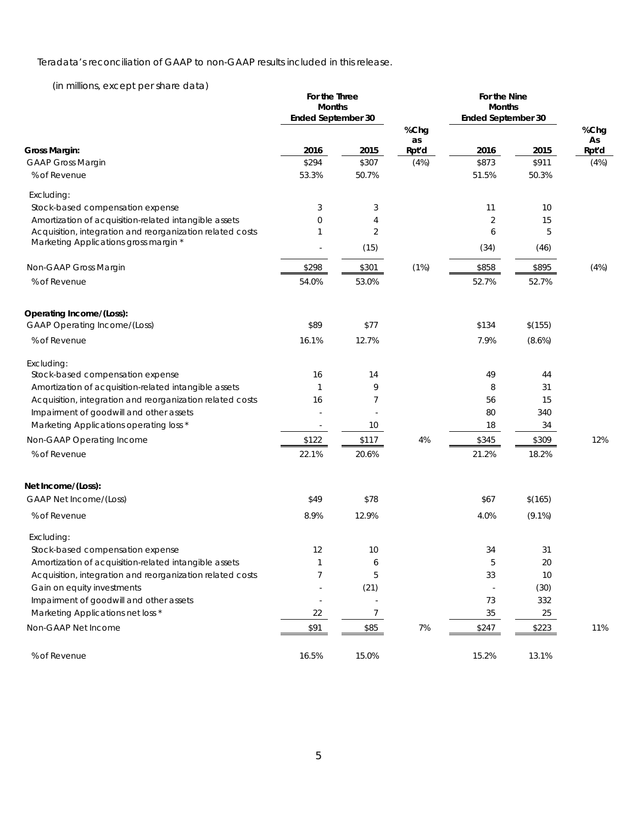Teradata's reconciliation of GAAP to non-GAAP results included in this release.

(in millions, except per share data)

|                                                           | For the Three<br><b>Months</b><br><b>Ended September 30</b> |                 | For the Nine<br><b>Months</b><br><b>Ended September 30</b> |                |           |             |  |
|-----------------------------------------------------------|-------------------------------------------------------------|-----------------|------------------------------------------------------------|----------------|-----------|-------------|--|
|                                                           |                                                             |                 | %Chg                                                       |                |           | %Chg        |  |
| <b>Gross Margin:</b>                                      | 2016                                                        | 2015            | as<br>Rpt'd                                                | 2016           | 2015      | As<br>Rpt'd |  |
| <b>GAAP Gross Margin</b>                                  | \$294                                                       | \$307           | (4%)                                                       | \$873          | \$911     | (4%)        |  |
| % of Revenue                                              | 53.3%                                                       | 50.7%           |                                                            | 51.5%          | 50.3%     |             |  |
| Excluding:                                                |                                                             |                 |                                                            |                |           |             |  |
| Stock-based compensation expense                          | 3                                                           | 3               |                                                            | 11             | 10        |             |  |
| Amortization of acquisition-related intangible assets     | 0                                                           | 4               |                                                            | $\overline{2}$ | 15        |             |  |
| Acquisition, integration and reorganization related costs | $\mathbf{1}$                                                | 2               |                                                            | 6              | 5         |             |  |
| Marketing Applications gross margin *                     |                                                             | (15)            |                                                            | (34)           | (46)      |             |  |
| Non-GAAP Gross Margin                                     | \$298                                                       | \$301           | (1%)                                                       | \$858          | \$895     | (4%)        |  |
| % of Revenue                                              | 54.0%                                                       | 53.0%           |                                                            | 52.7%          | 52.7%     |             |  |
| Operating Income/(Loss):                                  |                                                             |                 |                                                            |                |           |             |  |
| <b>GAAP Operating Income/(Loss)</b>                       | \$89                                                        | \$77            |                                                            | \$134          | \$(155)   |             |  |
| % of Revenue                                              | 16.1%                                                       | 12.7%           |                                                            | 7.9%           | (8.6%)    |             |  |
| Excluding:                                                |                                                             |                 |                                                            |                |           |             |  |
| Stock-based compensation expense                          | 16                                                          | 14              |                                                            | 49             | 44        |             |  |
| Amortization of acquisition-related intangible assets     | $\mathbf{1}$                                                | 9               |                                                            | 8              | 31        |             |  |
| Acquisition, integration and reorganization related costs | 16                                                          | 7               |                                                            | 56             | 15        |             |  |
| Impairment of goodwill and other assets                   |                                                             |                 |                                                            | 80             | 340       |             |  |
| Marketing Applications operating loss *                   | $\overline{\phantom{a}}$                                    | 10 <sup>°</sup> |                                                            | 18             | 34        |             |  |
| Non-GAAP Operating Income                                 | \$122                                                       | \$117           | 4%                                                         | \$345          | \$309     | 12%         |  |
| % of Revenue                                              | 22.1%                                                       | 20.6%           |                                                            | 21.2%          | 18.2%     |             |  |
| Net Income/(Loss):                                        |                                                             |                 |                                                            |                |           |             |  |
| <b>GAAP Net Income/(Loss)</b>                             | \$49                                                        | \$78            |                                                            | \$67           | \$(165)   |             |  |
| % of Revenue                                              | 8.9%                                                        | 12.9%           |                                                            | 4.0%           | $(9.1\%)$ |             |  |
| Excluding:                                                |                                                             |                 |                                                            |                |           |             |  |
| Stock-based compensation expense                          | 12                                                          | 10              |                                                            | 34             | 31        |             |  |
| Amortization of acquisition-related intangible assets     | 1                                                           | 6               |                                                            | 5              | $20\,$    |             |  |
| Acquisition, integration and reorganization related costs | $\overline{7}$                                              | 5               |                                                            | 33             | 10        |             |  |
| Gain on equity investments                                |                                                             | (21)            |                                                            |                | (30)      |             |  |
| Impairment of goodwill and other assets                   | $\bar{a}$                                                   | $\sim$          |                                                            | 73             | 332       |             |  |
| Marketing Applications net loss *                         | 22                                                          | $\overline{7}$  |                                                            | $35\,$         | 25        |             |  |
| Non-GAAP Net Income                                       | \$91                                                        | \$85            | 7%                                                         | \$247          | \$223     | 11%         |  |
| % of Revenue                                              | 16.5%                                                       | 15.0%           |                                                            | 15.2%          | 13.1%     |             |  |

5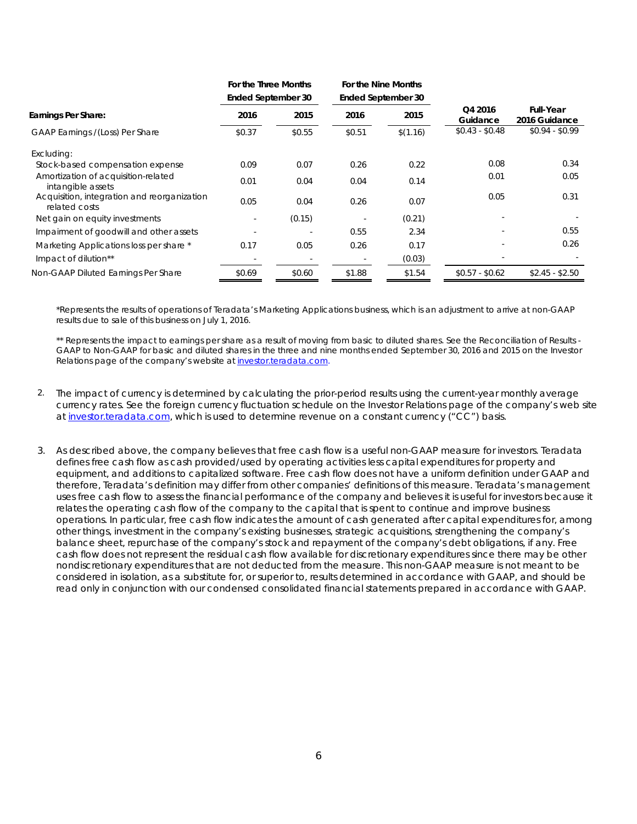|                                                              | For the Three Months<br><b>Ended September 30</b> |        | For the Nine Months<br><b>Ended September 30</b> |          |                     |                                   |  |
|--------------------------------------------------------------|---------------------------------------------------|--------|--------------------------------------------------|----------|---------------------|-----------------------------------|--|
| Earnings Per Share:                                          | 2016                                              | 2015   | 2016                                             | 2015     | Q4 2016<br>Guidance | <b>Full-Year</b><br>2016 Guidance |  |
| GAAP Earnings /(Loss) Per Share                              | \$0.37                                            | \$0.55 | \$0.51                                           | \$(1.16) | $$0.43 - $0.48$     | $$0.94 - $0.99$                   |  |
| Excluding:                                                   |                                                   |        |                                                  |          |                     |                                   |  |
| Stock-based compensation expense                             | 0.09                                              | 0.07   | 0.26                                             | 0.22     | 0.08                | 0.34                              |  |
| Amortization of acquisition-related<br>intangible assets     | 0.01                                              | 0.04   | 0.04                                             | 0.14     | 0.01                | 0.05                              |  |
| Acquisition, integration and reorganization<br>related costs | 0.05                                              | 0.04   | 0.26                                             | 0.07     | 0.05                | 0.31                              |  |
| Net gain on equity investments                               | $\sim$                                            | (0.15) |                                                  | (0.21)   |                     |                                   |  |
| Impairment of goodwill and other assets                      |                                                   |        | 0.55                                             | 2.34     |                     | 0.55                              |  |
| Marketing Applications loss per share *                      | 0.17                                              | 0.05   | 0.26                                             | 0.17     |                     | 0.26                              |  |
| Impact of dilution**                                         |                                                   |        |                                                  | (0.03)   |                     |                                   |  |
| Non-GAAP Diluted Earnings Per Share                          | \$0.69                                            | \$0.60 | \$1.88                                           | \$1.54   | $$0.57 - $0.62$     | $$2.45 - $2.50$                   |  |

\*Represents the results of operations of Teradata's Marketing Applications business, which is an adjustment to arrive at non-GAAP results due to sale of this business on July 1, 2016.

\*\* Represents the impact to earnings per share as a result of moving from basic to diluted shares. See the Reconciliation of Results -GAAP to Non-GAAP for basic and diluted shares in the three and nine months ended September 30, 2016 and 2015 on the Investor Relations page of the company's website at *investor.teradata.com.* 

- 2. The impact of currency is determined by calculating the prior-period results using the current-year monthly average currency rates. See the foreign currency fluctuation schedule on the Investor Relations page of the company's web site a[t investor.teradata.com,](http://investor.teradata.com/about-teradata/default.aspx%23top) which is used to determine revenue on a constant currency ("CC") basis.
- 3. As described above, the company believes that free cash flow is a useful non-GAAP measure for investors. Teradata defines free cash flow as cash provided/used by operating activities less capital expenditures for property and equipment, and additions to capitalized software. Free cash flow does not have a uniform definition under GAAP and therefore, Teradata's definition may differ from other companies' definitions of this measure. Teradata's management uses free cash flow to assess the financial performance of the company and believes it is useful for investors because it relates the operating cash flow of the company to the capital that is spent to continue and improve business operations. In particular, free cash flow indicates the amount of cash generated after capital expenditures for, among other things, investment in the company's existing businesses, strategic acquisitions, strengthening the company's balance sheet, repurchase of the company's stock and repayment of the company's debt obligations, if any. Free cash flow does not represent the residual cash flow available for discretionary expenditures since there may be other nondiscretionary expenditures that are not deducted from the measure. This non-GAAP measure is not meant to be considered in isolation, as a substitute for, or superior to, results determined in accordance with GAAP, and should be read only in conjunction with our condensed consolidated financial statements prepared in accordance with GAAP.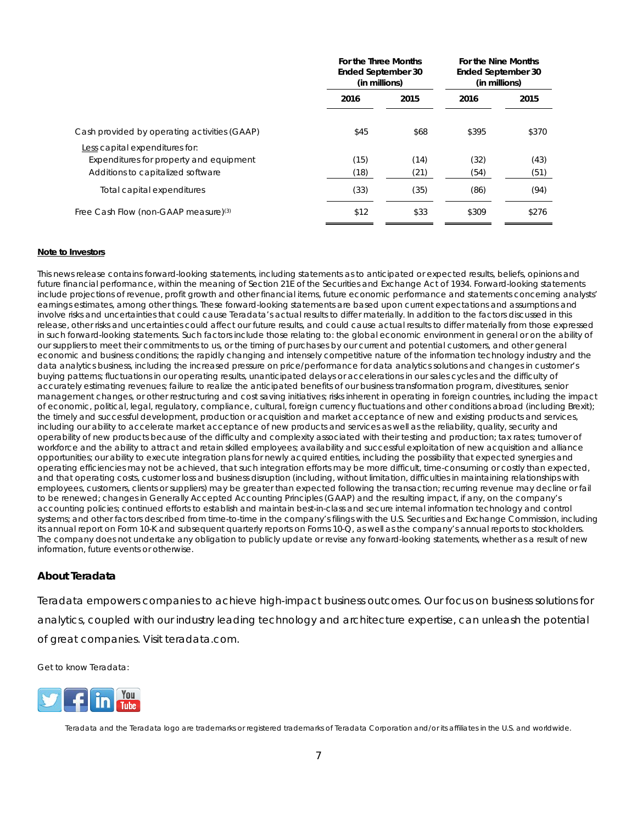|                                                                                                                | For the Three Months<br>Ended September 30<br>(in millions) |              | For the Nine Months<br><b>Ended September 30</b><br>(in millions) |              |  |
|----------------------------------------------------------------------------------------------------------------|-------------------------------------------------------------|--------------|-------------------------------------------------------------------|--------------|--|
|                                                                                                                | 2016                                                        | 2015         | 2016                                                              | 2015         |  |
| Cash provided by operating activities (GAAP)                                                                   | \$45                                                        | \$68         | \$395                                                             | \$370        |  |
| Less capital expenditures for:<br>Expenditures for property and equipment<br>Additions to capitalized software | (15)<br>(18)                                                | (14)<br>(21) | (32)<br>(54)                                                      | (43)<br>(51) |  |
| Total capital expenditures                                                                                     | (33)                                                        | (35)         | (86)                                                              | (94)         |  |
| Free Cash Flow (non-GAAP measure) <sup>(3)</sup>                                                               | \$12                                                        | \$33         | \$309                                                             | \$276        |  |

#### **Note to Investors**

This news release contains forward-looking statements, including statements as to anticipated or expected results, beliefs, opinions and future financial performance, within the meaning of Section 21E of the Securities and Exchange Act of 1934. Forward-looking statements include projections of revenue, profit growth and other financial items, future economic performance and statements concerning analysts' earnings estimates, among other things. These forward-looking statements are based upon current expectations and assumptions and involve risks and uncertainties that could cause Teradata's actual results to differ materially. In addition to the factors discussed in this release, other risks and uncertainties could affect our future results, and could cause actual results to differ materially from those expressed in such forward-looking statements. Such factors include those relating to: the global economic environment in general or on the ability of our suppliers to meet their commitments to us, or the timing of purchases by our current and potential customers, and other general economic and business conditions; the rapidly changing and intensely competitive nature of the information technology industry and the data analytics business, including the increased pressure on price/performance for data analytics solutions and changes in customer's buying patterns; fluctuations in our operating results, unanticipated delays or accelerations in our sales cycles and the difficulty of accurately estimating revenues; failure to realize the anticipated benefits of our business transformation program, divestitures, senior management changes, or other restructuring and cost saving initiatives; risks inherent in operating in foreign countries, including the impact of economic, political, legal, regulatory, compliance, cultural, foreign currency fluctuations and other conditions abroad (including Brexit); the timely and successful development, production or acquisition and market acceptance of new and existing products and services, including our ability to accelerate market acceptance of new products and services as well as the reliability, quality, security and operability of new products because of the difficulty and complexity associated with their testing and production; tax rates; turnover of workforce and the ability to attract and retain skilled employees; availability and successful exploitation of new acquisition and alliance opportunities; our ability to execute integration plans for newly acquired entities, including the possibility that expected synergies and operating efficiencies may not be achieved, that such integration efforts may be more difficult, time-consuming or costly than expected, and that operating costs, customer loss and business disruption (including, without limitation, difficulties in maintaining relationships with employees, customers, clients or suppliers) may be greater than expected following the transaction; recurring revenue may decline or fail to be renewed; changes in Generally Accepted Accounting Principles (GAAP) and the resulting impact, if any, on the company's accounting policies; continued efforts to establish and maintain best-in-class and secure internal information technology and control systems; and other factors described from time-to-time in the company's filings with the U.S. Securities and Exchange Commission, including its annual report on Form 10-K and subsequent quarterly reports on Forms 10-Q, as well as the company's annual reports to stockholders. The company does not undertake any obligation to publicly update or revise any forward-looking statements, whether as a result of new information, future events or otherwise.

#### *About Teradata*

Teradata empowers companies to achieve high-impact business outcomes. Our focus on business solutions for analytics, coupled with our industry leading technology and architecture expertise, can unleash the potential of great companies. Visit teradata.com.

Get to know Teradata:



Teradata and the Teradata logo are trademarks or registered trademarks of Teradata Corporation and/or its affiliates in the U.S. and worldwide.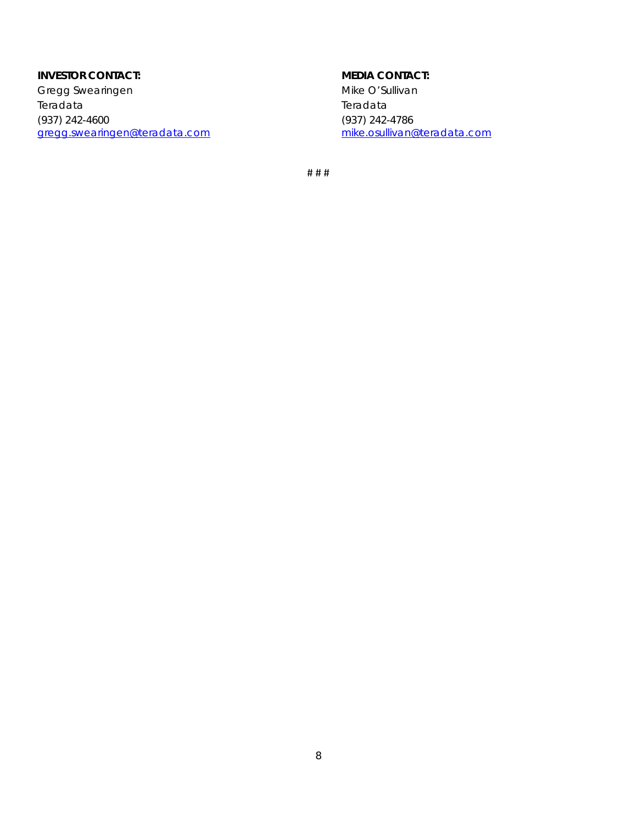### **INVESTOR CONTACT:**

Gregg Swearingen Teradata (937) 242-4600 [gregg.swearingen@teradata.com](mailto:gregg.swearingen@teradata.com)

### **MEDIA CONTACT:**

Mike O'Sullivan Teradata (937) 242-4786 [mike.osullivan@teradata.com](mailto:mike.osullivan@teradata.com)

# # #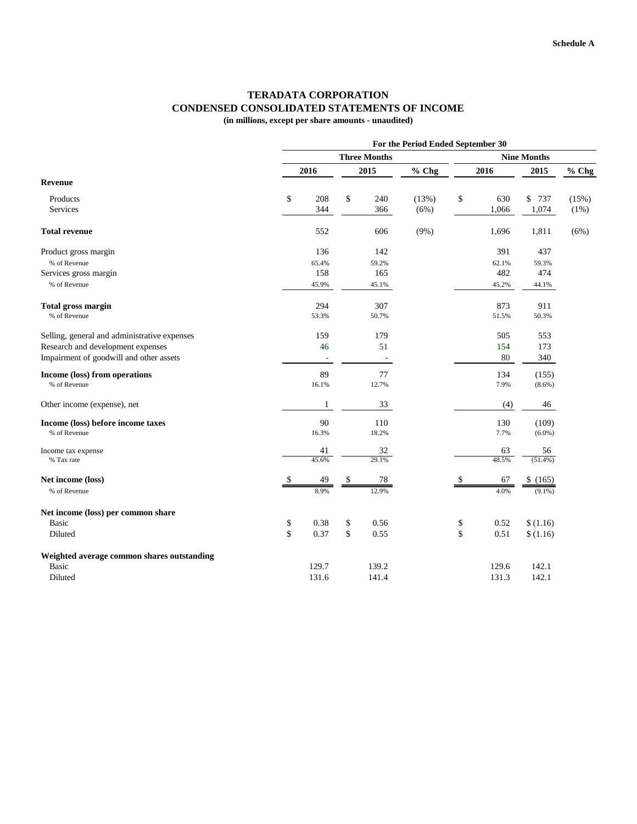## **TERADATA CORPORATION CONDENSED CONSOLIDATED STATEMENTS OF INCOME**

**(in millions, except per share amounts - unaudited)**

|                                              | For the Period Ended September 30 |                     |    |                    |         |    |       |            |       |
|----------------------------------------------|-----------------------------------|---------------------|----|--------------------|---------|----|-------|------------|-------|
|                                              |                                   | <b>Three Months</b> |    | <b>Nine Months</b> |         |    |       |            |       |
|                                              |                                   | 2016                |    | 2015               | % Chg   |    | 2016  | 2015       | % Chg |
| <b>Revenue</b>                               |                                   |                     |    |                    |         |    |       |            |       |
| Products                                     | \$                                | 208                 | \$ | 240                | (13%)   | \$ | 630   | \$737      | (15%) |
| <b>Services</b>                              |                                   | 344                 |    | 366                | (6%)    |    | 1,066 | 1,074      | (1%)  |
| <b>Total revenue</b>                         |                                   | 552                 |    | 606                | $(9\%)$ |    | 1,696 | 1,811      | (6%)  |
| Product gross margin                         |                                   | 136                 |    | 142                |         |    | 391   | 437        |       |
| % of Revenue                                 |                                   | 65.4%               |    | 59.2%              |         |    | 62.1% | 59.3%      |       |
| Services gross margin                        |                                   | 158                 |    | 165                |         |    | 482   | 474        |       |
| % of Revenue                                 |                                   | 45.9%               |    | 45.1%              |         |    | 45.2% | 44.1%      |       |
| <b>Total gross margin</b>                    |                                   | 294                 |    | 307                |         |    | 873   | 911        |       |
| % of Revenue                                 |                                   | 53.3%               |    | 50.7%              |         |    | 51.5% | 50.3%      |       |
| Selling, general and administrative expenses |                                   | 159                 |    | 179                |         |    | 505   | 553        |       |
| Research and development expenses            |                                   | 46                  |    | 51                 |         |    | 154   | 173        |       |
| Impairment of goodwill and other assets      |                                   |                     |    |                    |         |    | 80    | 340        |       |
| Income (loss) from operations                |                                   | 89                  |    | 77                 |         |    | 134   | (155)      |       |
| % of Revenue                                 |                                   | 16.1%               |    | 12.7%              |         |    | 7.9%  | $(8.6\%)$  |       |
| Other income (expense), net                  |                                   | 1                   |    | 33                 |         |    | (4)   | 46         |       |
| Income (loss) before income taxes            |                                   | 90                  |    | 110                |         |    | 130   | (109)      |       |
| % of Revenue                                 |                                   | 16.3%               |    | 18.2%              |         |    | 7.7%  | $(6.0\%)$  |       |
| Income tax expense                           |                                   | 41                  |    | 32                 |         |    | 63    | 56         |       |
| % Tax rate                                   |                                   | 45.6%               |    | 29.1%              |         |    | 48.5% | $(51.4\%)$ |       |
| Net income (loss)                            | \$                                | 49                  | \$ | 78                 |         | \$ | 67    | \$(165)    |       |
| % of Revenue                                 |                                   | 8.9%                |    | 12.9%              |         |    | 4.0%  | $(9.1\%)$  |       |
| Net income (loss) per common share           |                                   |                     |    |                    |         |    |       |            |       |
| <b>Basic</b>                                 | \$                                | 0.38                | \$ | 0.56               |         | \$ | 0.52  | \$(1.16)   |       |
| Diluted                                      | \$                                | 0.37                | \$ | 0.55               |         | \$ | 0.51  | \$(1.16)   |       |
| Weighted average common shares outstanding   |                                   |                     |    |                    |         |    |       |            |       |
| <b>Basic</b>                                 |                                   | 129.7               |    | 139.2              |         |    | 129.6 | 142.1      |       |
| Diluted                                      |                                   | 131.6               |    | 141.4              |         |    | 131.3 | 142.1      |       |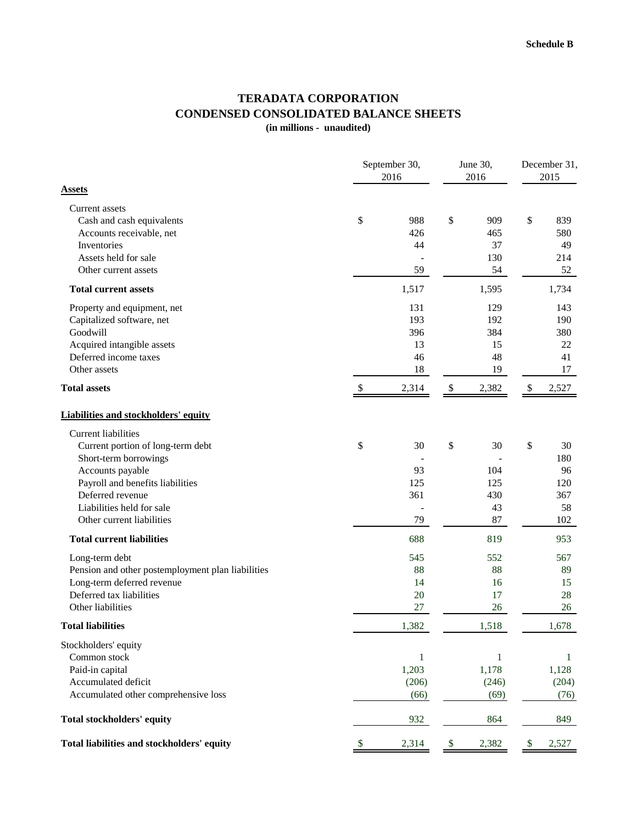## **TERADATA CORPORATION CONDENSED CONSOLIDATED BALANCE SHEETS**

**(in millions - unaudited)**

|                                                                                                                                                                                                                                | September 30,<br>2016 |                                        | June 30,<br>2016          | December 31,<br>2015                |    |                                            |
|--------------------------------------------------------------------------------------------------------------------------------------------------------------------------------------------------------------------------------|-----------------------|----------------------------------------|---------------------------|-------------------------------------|----|--------------------------------------------|
| <b>Assets</b>                                                                                                                                                                                                                  |                       |                                        |                           |                                     |    |                                            |
| Current assets<br>Cash and cash equivalents<br>Accounts receivable, net<br>Inventories<br>Assets held for sale<br>Other current assets                                                                                         | \$                    | 988<br>426<br>44<br>59                 | \$                        | 909<br>465<br>37<br>130<br>54       | \$ | 839<br>580<br>49<br>214<br>52              |
| <b>Total current assets</b>                                                                                                                                                                                                    |                       | 1,517                                  |                           | 1,595                               |    | 1,734                                      |
| Property and equipment, net<br>Capitalized software, net<br>Goodwill<br>Acquired intangible assets<br>Deferred income taxes<br>Other assets                                                                                    |                       | 131<br>193<br>396<br>13<br>46<br>18    |                           | 129<br>192<br>384<br>15<br>48<br>19 |    | 143<br>190<br>380<br>22<br>41<br>17        |
| <b>Total assets</b>                                                                                                                                                                                                            | \$                    | 2,314                                  | $\boldsymbol{\mathsf{S}}$ | 2,382                               | \$ | 2,527                                      |
| <b>Liabilities and stockholders' equity</b>                                                                                                                                                                                    |                       |                                        |                           |                                     |    |                                            |
| <b>Current liabilities</b><br>Current portion of long-term debt<br>Short-term borrowings<br>Accounts payable<br>Payroll and benefits liabilities<br>Deferred revenue<br>Liabilities held for sale<br>Other current liabilities | \$                    | 30<br>93<br>125<br>361<br>79           | \$                        | 30<br>104<br>125<br>430<br>43<br>87 | \$ | 30<br>180<br>96<br>120<br>367<br>58<br>102 |
| <b>Total current liabilities</b>                                                                                                                                                                                               |                       | 688                                    |                           | 819                                 |    | 953                                        |
| Long-term debt<br>Pension and other postemployment plan liabilities<br>Long-term deferred revenue<br>Deferred tax liabilities<br>Other liabilities                                                                             |                       | 545<br>88<br>14<br>20<br>27            |                           | 552<br>88<br>16<br>17<br>26         |    | 567<br>89<br>15<br>28<br>26                |
| <b>Total liabilities</b>                                                                                                                                                                                                       |                       | 1,382                                  |                           | 1,518                               |    | 1,678                                      |
| Stockholders' equity<br>Common stock<br>Paid-in capital<br>Accumulated deficit<br>Accumulated other comprehensive loss                                                                                                         |                       | $\mathbf{1}$<br>1,203<br>(206)<br>(66) |                           | 1<br>1,178<br>(246)<br>(69)         |    | 1<br>1,128<br>(204)<br>(76)                |
| Total stockholders' equity                                                                                                                                                                                                     |                       | 932                                    |                           | 864                                 |    | 849                                        |
| Total liabilities and stockholders' equity                                                                                                                                                                                     | \$                    | 2,314                                  | $\boldsymbol{\mathsf{S}}$ | 2,382                               | \$ | 2,527                                      |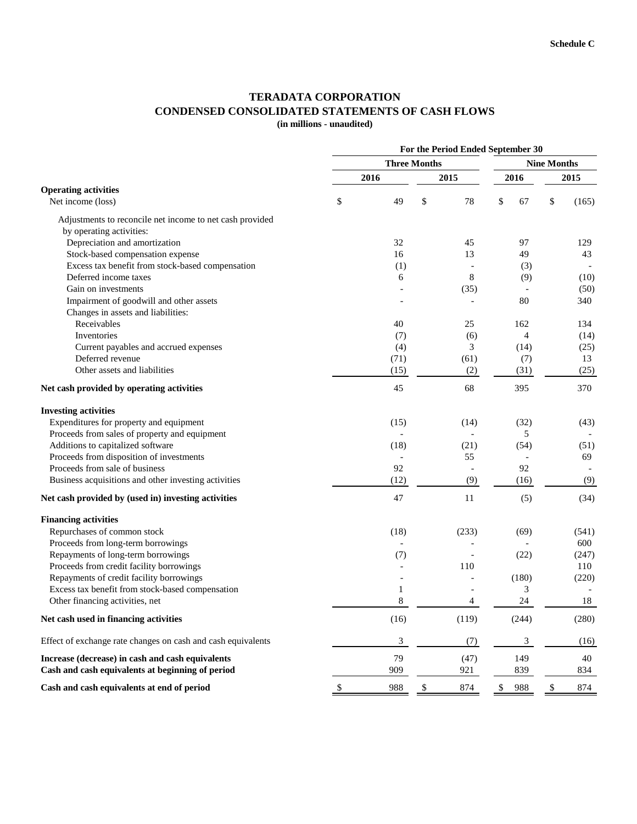## **TERADATA CORPORATION CONDENSED CONSOLIDATED STATEMENTS OF CASH FLOWS**

**(in millions - unaudited)**

|                                                                                                                                                                                                                                                                                                                                                                                                                                                                                                                                                                                                           | For the Period Ended September 30 |                          |                    |                          |    |                |    |       |  |  |
|-----------------------------------------------------------------------------------------------------------------------------------------------------------------------------------------------------------------------------------------------------------------------------------------------------------------------------------------------------------------------------------------------------------------------------------------------------------------------------------------------------------------------------------------------------------------------------------------------------------|-----------------------------------|--------------------------|--------------------|--------------------------|----|----------------|----|-------|--|--|
|                                                                                                                                                                                                                                                                                                                                                                                                                                                                                                                                                                                                           |                                   | <b>Three Months</b>      | <b>Nine Months</b> |                          |    |                |    |       |  |  |
|                                                                                                                                                                                                                                                                                                                                                                                                                                                                                                                                                                                                           | 2016                              |                          |                    | 2015                     |    | 2016           |    | 2015  |  |  |
| <b>Operating activities</b><br>Net income (loss)<br>Adjustments to reconcile net income to net cash provided<br>by operating activities:<br>Depreciation and amortization<br>Stock-based compensation expense<br>Excess tax benefit from stock-based compensation<br>Deferred income taxes<br>Gain on investments<br>Impairment of goodwill and other assets<br>Changes in assets and liabilities:<br>Receivables<br>Inventories<br>Current payables and accrued expenses<br>Deferred revenue<br>Other assets and liabilities<br>Net cash provided by operating activities<br><b>Investing activities</b> | \$                                | 49                       | \$                 | 78                       | \$ | 67             | \$ | (165) |  |  |
|                                                                                                                                                                                                                                                                                                                                                                                                                                                                                                                                                                                                           |                                   |                          |                    |                          |    |                |    |       |  |  |
|                                                                                                                                                                                                                                                                                                                                                                                                                                                                                                                                                                                                           |                                   |                          |                    |                          |    |                |    |       |  |  |
|                                                                                                                                                                                                                                                                                                                                                                                                                                                                                                                                                                                                           |                                   | 32                       |                    | 45                       |    | 97             |    | 129   |  |  |
|                                                                                                                                                                                                                                                                                                                                                                                                                                                                                                                                                                                                           |                                   | 16                       |                    | 13                       |    | 49             |    | 43    |  |  |
|                                                                                                                                                                                                                                                                                                                                                                                                                                                                                                                                                                                                           |                                   | (1)                      |                    | $\overline{a}$           |    | (3)            |    |       |  |  |
|                                                                                                                                                                                                                                                                                                                                                                                                                                                                                                                                                                                                           |                                   | 6                        |                    | 8                        |    | (9)            |    | (10)  |  |  |
|                                                                                                                                                                                                                                                                                                                                                                                                                                                                                                                                                                                                           |                                   |                          |                    | (35)                     |    |                |    | (50)  |  |  |
|                                                                                                                                                                                                                                                                                                                                                                                                                                                                                                                                                                                                           |                                   |                          |                    |                          |    | 80             |    | 340   |  |  |
|                                                                                                                                                                                                                                                                                                                                                                                                                                                                                                                                                                                                           |                                   |                          |                    |                          |    |                |    |       |  |  |
|                                                                                                                                                                                                                                                                                                                                                                                                                                                                                                                                                                                                           |                                   | 40                       |                    | 25                       |    | 162            |    | 134   |  |  |
|                                                                                                                                                                                                                                                                                                                                                                                                                                                                                                                                                                                                           |                                   | (7)                      |                    | (6)                      |    | $\overline{4}$ |    | (14)  |  |  |
|                                                                                                                                                                                                                                                                                                                                                                                                                                                                                                                                                                                                           |                                   | (4)                      |                    | 3                        |    | (14)           |    | (25)  |  |  |
|                                                                                                                                                                                                                                                                                                                                                                                                                                                                                                                                                                                                           |                                   | (71)                     |                    | (61)                     |    | (7)            |    | 13    |  |  |
|                                                                                                                                                                                                                                                                                                                                                                                                                                                                                                                                                                                                           |                                   | (15)                     |                    | (2)                      |    | (31)           |    | (25)  |  |  |
|                                                                                                                                                                                                                                                                                                                                                                                                                                                                                                                                                                                                           |                                   | 45                       |                    | 68                       |    | 395            |    | 370   |  |  |
|                                                                                                                                                                                                                                                                                                                                                                                                                                                                                                                                                                                                           |                                   |                          |                    |                          |    |                |    |       |  |  |
| Expenditures for property and equipment                                                                                                                                                                                                                                                                                                                                                                                                                                                                                                                                                                   |                                   | (15)                     |                    | (14)                     |    | (32)           |    | (43)  |  |  |
| Proceeds from sales of property and equipment                                                                                                                                                                                                                                                                                                                                                                                                                                                                                                                                                             |                                   | $\overline{a}$           |                    | $\blacksquare$           |    | 5              |    |       |  |  |
| Additions to capitalized software                                                                                                                                                                                                                                                                                                                                                                                                                                                                                                                                                                         |                                   | (18)                     |                    | (21)                     |    | (54)           |    | (51)  |  |  |
| Proceeds from disposition of investments                                                                                                                                                                                                                                                                                                                                                                                                                                                                                                                                                                  |                                   |                          |                    | 55                       |    |                |    | 69    |  |  |
| Proceeds from sale of business                                                                                                                                                                                                                                                                                                                                                                                                                                                                                                                                                                            |                                   | 92                       |                    | $\overline{\phantom{a}}$ |    | 92             |    |       |  |  |
| Business acquisitions and other investing activities                                                                                                                                                                                                                                                                                                                                                                                                                                                                                                                                                      |                                   | (12)                     |                    | (9)                      |    | (16)           |    | (9)   |  |  |
| Net cash provided by (used in) investing activities                                                                                                                                                                                                                                                                                                                                                                                                                                                                                                                                                       |                                   | 47                       |                    | 11                       |    | (5)            |    | (34)  |  |  |
| <b>Financing activities</b>                                                                                                                                                                                                                                                                                                                                                                                                                                                                                                                                                                               |                                   |                          |                    |                          |    |                |    |       |  |  |
| Repurchases of common stock                                                                                                                                                                                                                                                                                                                                                                                                                                                                                                                                                                               |                                   | (18)                     |                    | (233)                    |    | (69)           |    | (541) |  |  |
| Proceeds from long-term borrowings                                                                                                                                                                                                                                                                                                                                                                                                                                                                                                                                                                        |                                   | $\overline{a}$           |                    |                          |    |                |    | 600   |  |  |
| Repayments of long-term borrowings                                                                                                                                                                                                                                                                                                                                                                                                                                                                                                                                                                        |                                   | (7)                      |                    |                          |    | (22)           |    | (247) |  |  |
| Proceeds from credit facility borrowings                                                                                                                                                                                                                                                                                                                                                                                                                                                                                                                                                                  |                                   |                          |                    | 110                      |    |                |    | 110   |  |  |
| Repayments of credit facility borrowings                                                                                                                                                                                                                                                                                                                                                                                                                                                                                                                                                                  |                                   | $\overline{\phantom{a}}$ |                    |                          |    | (180)          |    | (220) |  |  |
| Excess tax benefit from stock-based compensation                                                                                                                                                                                                                                                                                                                                                                                                                                                                                                                                                          |                                   | 1                        |                    |                          |    | 3              |    |       |  |  |
| Other financing activities, net                                                                                                                                                                                                                                                                                                                                                                                                                                                                                                                                                                           |                                   | 8                        |                    | 4                        |    | 24             |    | 18    |  |  |
| Net cash used in financing activities                                                                                                                                                                                                                                                                                                                                                                                                                                                                                                                                                                     |                                   | (16)                     |                    | (119)                    |    | (244)          |    | (280) |  |  |
| Effect of exchange rate changes on cash and cash equivalents                                                                                                                                                                                                                                                                                                                                                                                                                                                                                                                                              |                                   | 3                        |                    | (7)                      |    | $\mathfrak{Z}$ |    | (16)  |  |  |
| Increase (decrease) in cash and cash equivalents                                                                                                                                                                                                                                                                                                                                                                                                                                                                                                                                                          |                                   | 79                       |                    | (47)                     |    | 149            |    | 40    |  |  |
| Cash and cash equivalents at beginning of period                                                                                                                                                                                                                                                                                                                                                                                                                                                                                                                                                          |                                   | 909                      |                    | 921                      |    | 839            |    | 834   |  |  |
| Cash and cash equivalents at end of period                                                                                                                                                                                                                                                                                                                                                                                                                                                                                                                                                                | \$                                | 988                      | \$                 | 874                      | \$ | 988            | \$ | 874   |  |  |